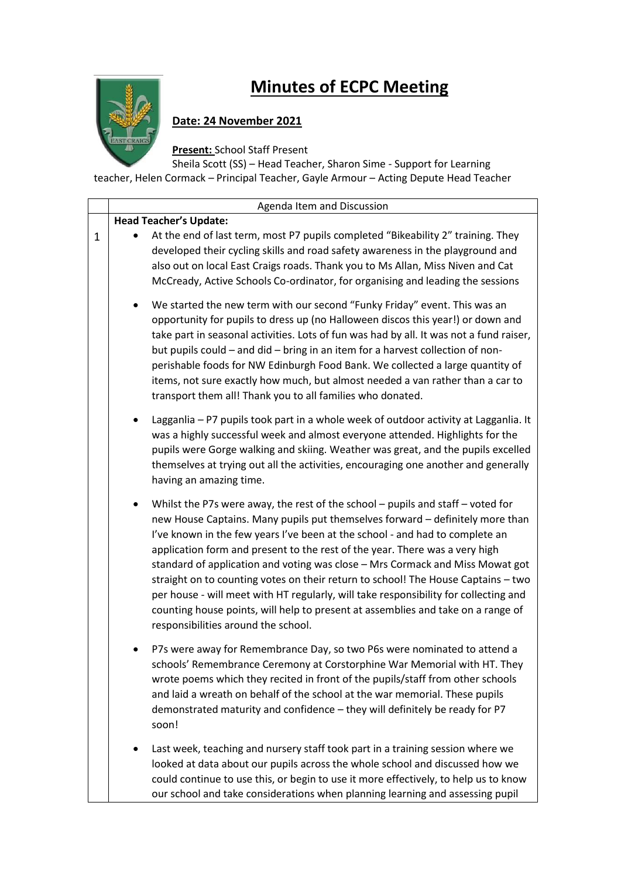

 $\mathbf{I}$ 

## **Minutes of ECPC Meeting**

## **Date: 24 November 2021**

**Present:** School Staff Present

Sheila Scott (SS) – Head Teacher, Sharon Sime - Support for Learning teacher, Helen Cormack – Principal Teacher, Gayle Armour – Acting Depute Head Teacher

|              | Agenda Item and Discussion                                                                                                                                                                                                                                                                                                                                                                                                                                                                                                                                                                                                                                                                                                            |
|--------------|---------------------------------------------------------------------------------------------------------------------------------------------------------------------------------------------------------------------------------------------------------------------------------------------------------------------------------------------------------------------------------------------------------------------------------------------------------------------------------------------------------------------------------------------------------------------------------------------------------------------------------------------------------------------------------------------------------------------------------------|
|              | <b>Head Teacher's Update:</b>                                                                                                                                                                                                                                                                                                                                                                                                                                                                                                                                                                                                                                                                                                         |
| $\mathbf{1}$ | At the end of last term, most P7 pupils completed "Bikeability 2" training. They<br>developed their cycling skills and road safety awareness in the playground and<br>also out on local East Craigs roads. Thank you to Ms Allan, Miss Niven and Cat<br>McCready, Active Schools Co-ordinator, for organising and leading the sessions                                                                                                                                                                                                                                                                                                                                                                                                |
|              | We started the new term with our second "Funky Friday" event. This was an<br>٠<br>opportunity for pupils to dress up (no Halloween discos this year!) or down and<br>take part in seasonal activities. Lots of fun was had by all. It was not a fund raiser,<br>but pupils could - and did - bring in an item for a harvest collection of non-<br>perishable foods for NW Edinburgh Food Bank. We collected a large quantity of<br>items, not sure exactly how much, but almost needed a van rather than a car to<br>transport them all! Thank you to all families who donated.                                                                                                                                                       |
|              | Lagganlia - P7 pupils took part in a whole week of outdoor activity at Lagganlia. It<br>was a highly successful week and almost everyone attended. Highlights for the<br>pupils were Gorge walking and skiing. Weather was great, and the pupils excelled<br>themselves at trying out all the activities, encouraging one another and generally<br>having an amazing time.                                                                                                                                                                                                                                                                                                                                                            |
|              | Whilst the P7s were away, the rest of the school - pupils and staff - voted for<br>$\bullet$<br>new House Captains. Many pupils put themselves forward - definitely more than<br>I've known in the few years I've been at the school - and had to complete an<br>application form and present to the rest of the year. There was a very high<br>standard of application and voting was close - Mrs Cormack and Miss Mowat got<br>straight on to counting votes on their return to school! The House Captains - two<br>per house - will meet with HT regularly, will take responsibility for collecting and<br>counting house points, will help to present at assemblies and take on a range of<br>responsibilities around the school. |
|              | P7s were away for Remembrance Day, so two P6s were nominated to attend a<br>schools' Remembrance Ceremony at Corstorphine War Memorial with HT. They<br>wrote poems which they recited in front of the pupils/staff from other schools<br>and laid a wreath on behalf of the school at the war memorial. These pupils<br>demonstrated maturity and confidence - they will definitely be ready for P7<br>soon!                                                                                                                                                                                                                                                                                                                         |
|              | Last week, teaching and nursery staff took part in a training session where we<br>looked at data about our pupils across the whole school and discussed how we<br>could continue to use this, or begin to use it more effectively, to help us to know<br>our school and take considerations when planning learning and assessing pupil                                                                                                                                                                                                                                                                                                                                                                                                |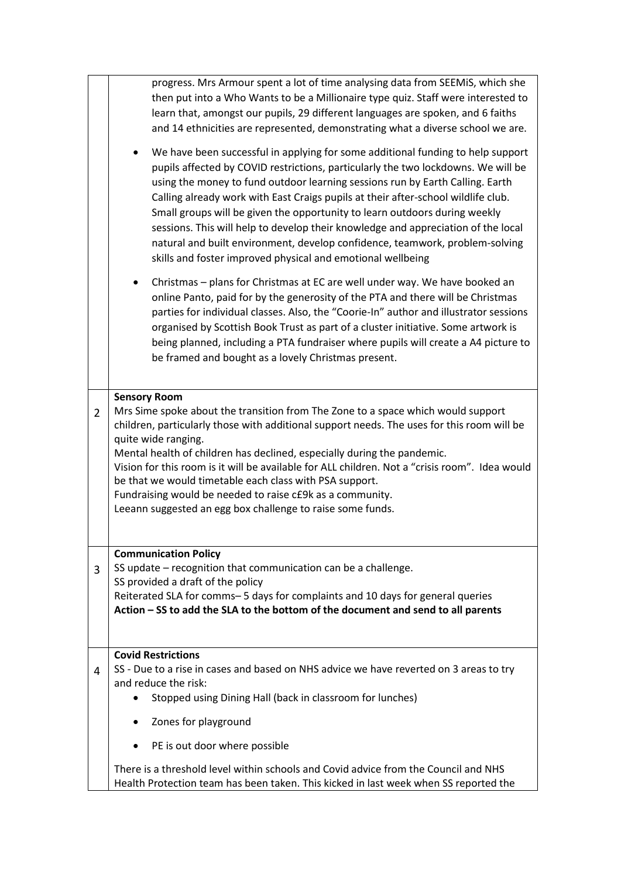|                | progress. Mrs Armour spent a lot of time analysing data from SEEMiS, which she<br>then put into a Who Wants to be a Millionaire type quiz. Staff were interested to<br>learn that, amongst our pupils, 29 different languages are spoken, and 6 faiths<br>and 14 ethnicities are represented, demonstrating what a diverse school we are.<br>We have been successful in applying for some additional funding to help support<br>$\bullet$<br>pupils affected by COVID restrictions, particularly the two lockdowns. We will be<br>using the money to fund outdoor learning sessions run by Earth Calling. Earth<br>Calling already work with East Craigs pupils at their after-school wildlife club.<br>Small groups will be given the opportunity to learn outdoors during weekly<br>sessions. This will help to develop their knowledge and appreciation of the local<br>natural and built environment, develop confidence, teamwork, problem-solving<br>skills and foster improved physical and emotional wellbeing |
|----------------|------------------------------------------------------------------------------------------------------------------------------------------------------------------------------------------------------------------------------------------------------------------------------------------------------------------------------------------------------------------------------------------------------------------------------------------------------------------------------------------------------------------------------------------------------------------------------------------------------------------------------------------------------------------------------------------------------------------------------------------------------------------------------------------------------------------------------------------------------------------------------------------------------------------------------------------------------------------------------------------------------------------------|
|                | Christmas - plans for Christmas at EC are well under way. We have booked an<br>$\bullet$<br>online Panto, paid for by the generosity of the PTA and there will be Christmas<br>parties for individual classes. Also, the "Coorie-In" author and illustrator sessions<br>organised by Scottish Book Trust as part of a cluster initiative. Some artwork is<br>being planned, including a PTA fundraiser where pupils will create a A4 picture to<br>be framed and bought as a lovely Christmas present.                                                                                                                                                                                                                                                                                                                                                                                                                                                                                                                 |
| $\overline{2}$ | <b>Sensory Room</b><br>Mrs Sime spoke about the transition from The Zone to a space which would support<br>children, particularly those with additional support needs. The uses for this room will be<br>quite wide ranging.<br>Mental health of children has declined, especially during the pandemic.<br>Vision for this room is it will be available for ALL children. Not a "crisis room". Idea would<br>be that we would timetable each class with PSA support.<br>Fundraising would be needed to raise c£9k as a community.<br>Leeann suggested an egg box challenge to raise some funds.                                                                                                                                                                                                                                                                                                                                                                                                                        |
| 3              | <b>Communication Policy</b><br>SS update – recognition that communication can be a challenge.<br>SS provided a draft of the policy<br>Reiterated SLA for comms-5 days for complaints and 10 days for general queries<br>Action - SS to add the SLA to the bottom of the document and send to all parents                                                                                                                                                                                                                                                                                                                                                                                                                                                                                                                                                                                                                                                                                                               |
| 4              | <b>Covid Restrictions</b><br>SS - Due to a rise in cases and based on NHS advice we have reverted on 3 areas to try<br>and reduce the risk:<br>Stopped using Dining Hall (back in classroom for lunches)<br>Zones for playground<br>$\bullet$<br>PE is out door where possible<br>$\bullet$                                                                                                                                                                                                                                                                                                                                                                                                                                                                                                                                                                                                                                                                                                                            |
|                | There is a threshold level within schools and Covid advice from the Council and NHS<br>Health Protection team has been taken. This kicked in last week when SS reported the                                                                                                                                                                                                                                                                                                                                                                                                                                                                                                                                                                                                                                                                                                                                                                                                                                            |